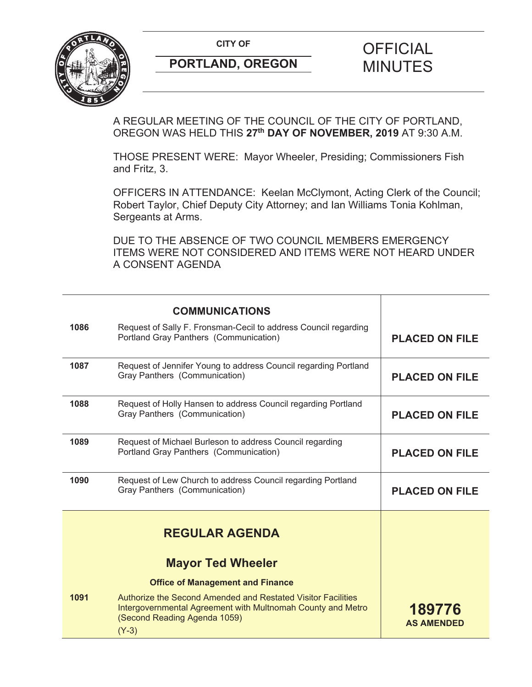**CITY OF CITY OF PICIAL** 



# **PORTLAND, OREGON MINUTES**

## A REGULAR MEETING OF THE COUNCIL OF THE CITY OF PORTLAND, OREGON WAS HELD THIS **27th DAY OF NOVEMBER, 2019** AT 9:30 A.M.

THOSE PRESENT WERE: Mayor Wheeler, Presiding; Commissioners Fish and Fritz, 3.

OFFICERS IN ATTENDANCE: Keelan McClymont, Acting Clerk of the Council; Robert Taylor, Chief Deputy City Attorney; and Ian Williams Tonia Kohlman, Sergeants at Arms.

DUE TO THE ABSENCE OF TWO COUNCIL MEMBERS EMERGENCY ITEMS WERE NOT CONSIDERED AND ITEMS WERE NOT HEARD UNDER A CONSENT AGENDA

|      | <b>COMMUNICATIONS</b>                                                                                                                                                  |                             |
|------|------------------------------------------------------------------------------------------------------------------------------------------------------------------------|-----------------------------|
| 1086 | Request of Sally F. Fronsman-Cecil to address Council regarding<br>Portland Gray Panthers (Communication)                                                              | <b>PLACED ON FILE</b>       |
| 1087 | Request of Jennifer Young to address Council regarding Portland<br>Gray Panthers (Communication)                                                                       | <b>PLACED ON FILE</b>       |
| 1088 | Request of Holly Hansen to address Council regarding Portland<br>Gray Panthers (Communication)                                                                         | <b>PLACED ON FILE</b>       |
| 1089 | Request of Michael Burleson to address Council regarding<br>Portland Gray Panthers (Communication)                                                                     | <b>PLACED ON FILE</b>       |
| 1090 | Request of Lew Church to address Council regarding Portland<br>Gray Panthers (Communication)                                                                           | <b>PLACED ON FILE</b>       |
|      | <b>REGULAR AGENDA</b>                                                                                                                                                  |                             |
|      | <b>Mayor Ted Wheeler</b>                                                                                                                                               |                             |
|      | <b>Office of Management and Finance</b>                                                                                                                                |                             |
| 1091 | Authorize the Second Amended and Restated Visitor Facilities<br>Intergovernmental Agreement with Multnomah County and Metro<br>(Second Reading Agenda 1059)<br>$(Y-3)$ | 189776<br><b>AS AMENDED</b> |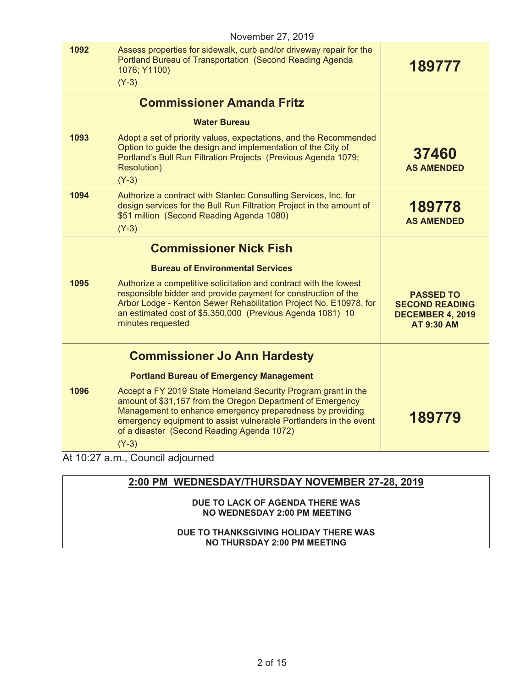|      | November 27, 2019                                                                                                                                                                                                                                                                                                      |                                                                                           |
|------|------------------------------------------------------------------------------------------------------------------------------------------------------------------------------------------------------------------------------------------------------------------------------------------------------------------------|-------------------------------------------------------------------------------------------|
| 1092 | Assess properties for sidewalk, curb and/or driveway repair for the<br>Portland Bureau of Transportation (Second Reading Agenda<br>1076; Y1100)<br>$(Y-3)$                                                                                                                                                             | 189777                                                                                    |
|      | <b>Commissioner Amanda Fritz</b>                                                                                                                                                                                                                                                                                       |                                                                                           |
|      | <b>Water Bureau</b>                                                                                                                                                                                                                                                                                                    |                                                                                           |
| 1093 | Adopt a set of priority values, expectations, and the Recommended<br>Option to guide the design and implementation of the City of<br>Portland's Bull Run Filtration Projects (Previous Agenda 1079;<br><b>Resolution)</b><br>$(Y-3)$                                                                                   | 37460<br><b>AS AMENDED</b>                                                                |
| 1094 | Authorize a contract with Stantec Consulting Services, Inc. for<br>design services for the Bull Run Filtration Project in the amount of<br>\$51 million (Second Reading Agenda 1080)<br>$(Y-3)$                                                                                                                        | 189778<br><b>AS AMENDED</b>                                                               |
|      | <b>Commissioner Nick Fish</b>                                                                                                                                                                                                                                                                                          |                                                                                           |
|      | <b>Bureau of Environmental Services</b>                                                                                                                                                                                                                                                                                |                                                                                           |
| 1095 | Authorize a competitive solicitation and contract with the lowest<br>responsible bidder and provide payment for construction of the<br>Arbor Lodge - Kenton Sewer Rehabilitation Project No. E10978, for<br>an estimated cost of \$5,350,000 (Previous Agenda 1081) 10<br>minutes requested                            | <b>PASSED TO</b><br><b>SECOND READING</b><br><b>DECEMBER 4, 2019</b><br><b>AT 9:30 AM</b> |
|      | <b>Commissioner Jo Ann Hardesty</b>                                                                                                                                                                                                                                                                                    |                                                                                           |
|      | <b>Portland Bureau of Emergency Management</b>                                                                                                                                                                                                                                                                         |                                                                                           |
| 1096 | Accept a FY 2019 State Homeland Security Program grant in the<br>amount of \$31,157 from the Oregon Department of Emergency<br>Management to enhance emergency preparedness by providing<br>emergency equipment to assist vulnerable Portlanders in the event<br>of a disaster (Second Reading Agenda 1072)<br>$(Y-3)$ | 189779                                                                                    |
|      | At 10:27 a.m., Council adjourned                                                                                                                                                                                                                                                                                       |                                                                                           |

## **2:00 PM WEDNESDAY/THURSDAY NOVEMBER 27-28, 2019**

**DUE TO LACK OF AGENDA THERE WAS NO WEDNESDAY 2:00 PM MEETING** 

#### **DUE TO THANKSGIVING HOLIDAY THERE WAS NO THURSDAY 2:00 PM MEETING**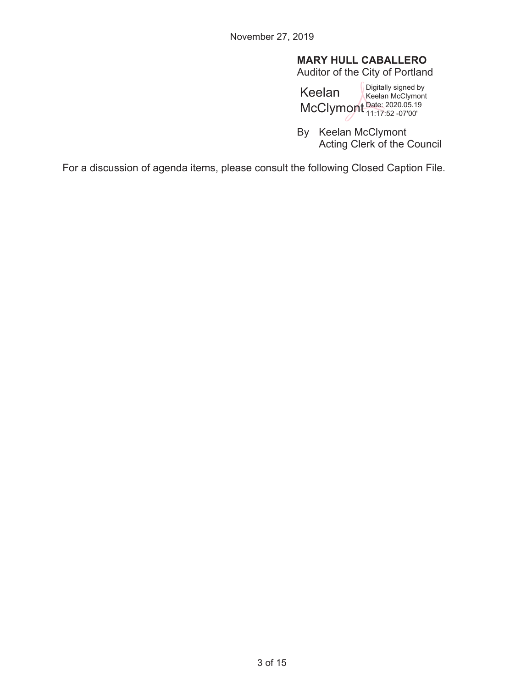## **MARY HULL CABALLERO**

Auditor of the City of Portland

Keelan McClymont Date: 2020.05.19 Digitally signed by Keelan McClymont 11:17:52 -07'00'

By Keelan McClymont Acting Clerk of the Council

For a discussion of agenda items, please consult the following Closed Caption File.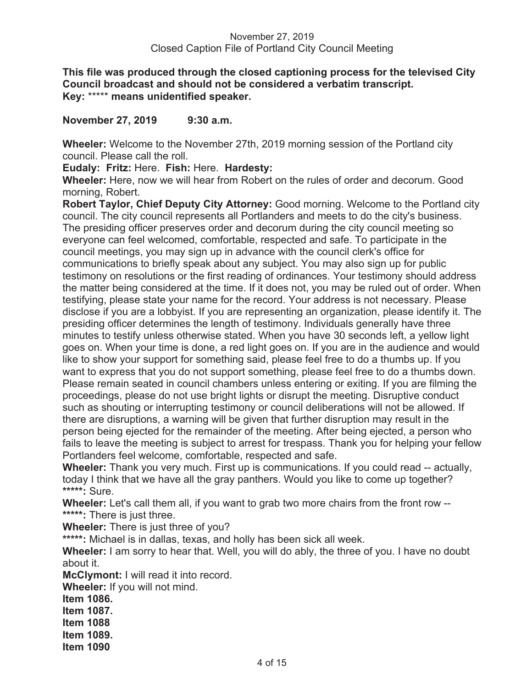**This file was produced through the closed captioning process for the televised City Council broadcast and should not be considered a verbatim transcript. Key:** \*\*\*\*\* **means unidentified speaker.** 

**November 27, 2019 9:30 a.m.** 

**Wheeler:** Welcome to the November 27th, 2019 morning session of the Portland city council. Please call the roll.

**Eudaly: Fritz:** Here. **Fish:** Here. **Hardesty:** 

**Wheeler:** Here, now we will hear from Robert on the rules of order and decorum. Good morning, Robert.

**Robert Taylor, Chief Deputy City Attorney:** Good morning. Welcome to the Portland city council. The city council represents all Portlanders and meets to do the city's business. The presiding officer preserves order and decorum during the city council meeting so everyone can feel welcomed, comfortable, respected and safe. To participate in the council meetings, you may sign up in advance with the council clerk's office for communications to briefly speak about any subject. You may also sign up for public testimony on resolutions or the first reading of ordinances. Your testimony should address the matter being considered at the time. If it does not, you may be ruled out of order. When testifying, please state your name for the record. Your address is not necessary. Please disclose if you are a lobbyist. If you are representing an organization, please identify it. The presiding officer determines the length of testimony. Individuals generally have three minutes to testify unless otherwise stated. When you have 30 seconds left, a yellow light goes on. When your time is done, a red light goes on. If you are in the audience and would like to show your support for something said, please feel free to do a thumbs up. If you want to express that you do not support something, please feel free to do a thumbs down. Please remain seated in council chambers unless entering or exiting. If you are filming the proceedings, please do not use bright lights or disrupt the meeting. Disruptive conduct such as shouting or interrupting testimony or council deliberations will not be allowed. If there are disruptions, a warning will be given that further disruption may result in the person being ejected for the remainder of the meeting. After being ejected, a person who fails to leave the meeting is subject to arrest for trespass. Thank you for helping your fellow Portlanders feel welcome, comfortable, respected and safe.

**Wheeler:** Thank you very much. First up is communications. If you could read -- actually, today I think that we have all the gray panthers. Would you like to come up together? **\*\*\*\*\*:** Sure.

**Wheeler:** Let's call them all, if you want to grab two more chairs from the front row -- **\*\*\*\*\*:** There is just three.

**Wheeler:** There is just three of you?

**\*\*\*\*\*:** Michael is in dallas, texas, and holly has been sick all week.

**Wheeler:** I am sorry to hear that. Well, you will do ably, the three of you. I have no doubt about it.

**McClymont:** I will read it into record.

**Wheeler:** If you will not mind.

**Item 1086. Item 1087.** 

**Item 1088** 

**Item 1089.** 

**Item 1090**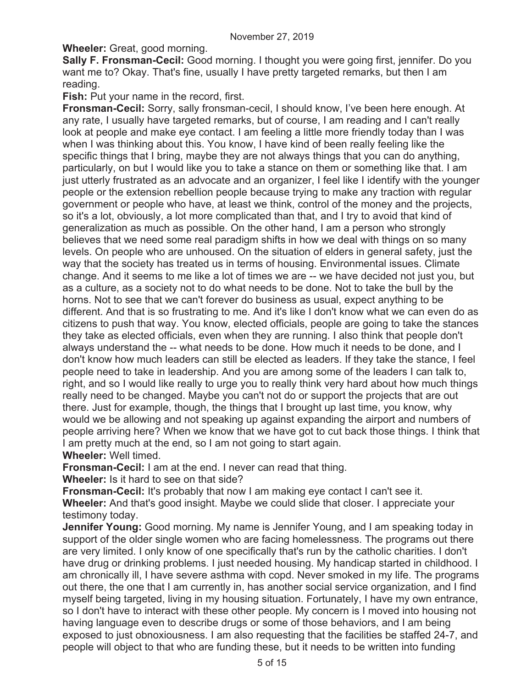**Wheeler:** Great, good morning.

**Sally F. Fronsman-Cecil:** Good morning. I thought you were going first, jennifer. Do you want me to? Okay. That's fine, usually I have pretty targeted remarks, but then I am reading.

**Fish:** Put your name in the record, first.

**Fronsman-Cecil:** Sorry, sally fronsman-cecil, I should know, I've been here enough. At any rate, I usually have targeted remarks, but of course, I am reading and I can't really look at people and make eye contact. I am feeling a little more friendly today than I was when I was thinking about this. You know, I have kind of been really feeling like the specific things that I bring, maybe they are not always things that you can do anything, particularly, on but I would like you to take a stance on them or something like that. I am just utterly frustrated as an advocate and an organizer, I feel like I identify with the younger people or the extension rebellion people because trying to make any traction with regular government or people who have, at least we think, control of the money and the projects, so it's a lot, obviously, a lot more complicated than that, and I try to avoid that kind of generalization as much as possible. On the other hand, I am a person who strongly believes that we need some real paradigm shifts in how we deal with things on so many levels. On people who are unhoused. On the situation of elders in general safety, just the way that the society has treated us in terms of housing. Environmental issues. Climate change. And it seems to me like a lot of times we are -- we have decided not just you, but as a culture, as a society not to do what needs to be done. Not to take the bull by the horns. Not to see that we can't forever do business as usual, expect anything to be different. And that is so frustrating to me. And it's like I don't know what we can even do as citizens to push that way. You know, elected officials, people are going to take the stances they take as elected officials, even when they are running. I also think that people don't always understand the -- what needs to be done. How much it needs to be done, and I don't know how much leaders can still be elected as leaders. If they take the stance, I feel people need to take in leadership. And you are among some of the leaders I can talk to, right, and so I would like really to urge you to really think very hard about how much things really need to be changed. Maybe you can't not do or support the projects that are out there. Just for example, though, the things that I brought up last time, you know, why would we be allowing and not speaking up against expanding the airport and numbers of people arriving here? When we know that we have got to cut back those things. I think that I am pretty much at the end, so I am not going to start again.

## **Wheeler:** Well timed.

**Fronsman-Cecil:** I am at the end. I never can read that thing.

**Wheeler:** Is it hard to see on that side?

**Fronsman-Cecil:** It's probably that now I am making eye contact I can't see it. **Wheeler:** And that's good insight. Maybe we could slide that closer. I appreciate your testimony today.

**Jennifer Young:** Good morning. My name is Jennifer Young, and I am speaking today in support of the older single women who are facing homelessness. The programs out there are very limited. I only know of one specifically that's run by the catholic charities. I don't have drug or drinking problems. I just needed housing. My handicap started in childhood. I am chronically ill, I have severe asthma with copd. Never smoked in my life. The programs out there, the one that I am currently in, has another social service organization, and I find myself being targeted, living in my housing situation. Fortunately, I have my own entrance, so I don't have to interact with these other people. My concern is I moved into housing not having language even to describe drugs or some of those behaviors, and I am being exposed to just obnoxiousness. I am also requesting that the facilities be staffed 24-7, and people will object to that who are funding these, but it needs to be written into funding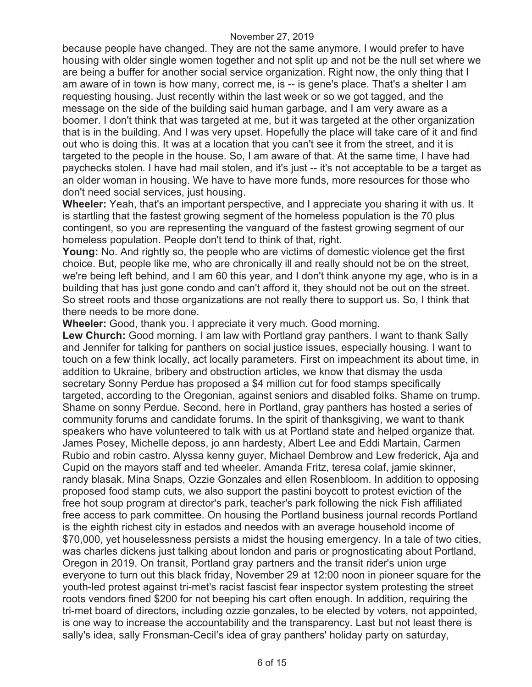because people have changed. They are not the same anymore. I would prefer to have housing with older single women together and not split up and not be the null set where we are being a buffer for another social service organization. Right now, the only thing that I am aware of in town is how many, correct me, is -- is gene's place. That's a shelter I am requesting housing. Just recently within the last week or so we got tagged, and the message on the side of the building said human garbage, and I am very aware as a boomer. I don't think that was targeted at me, but it was targeted at the other organization that is in the building. And I was very upset. Hopefully the place will take care of it and find out who is doing this. It was at a location that you can't see it from the street, and it is targeted to the people in the house. So, I am aware of that. At the same time, I have had paychecks stolen. I have had mail stolen, and it's just -- it's not acceptable to be a target as an older woman in housing. We have to have more funds, more resources for those who don't need social services, just housing.

**Wheeler:** Yeah, that's an important perspective, and I appreciate you sharing it with us. It is startling that the fastest growing segment of the homeless population is the 70 plus contingent, so you are representing the vanguard of the fastest growing segment of our homeless population. People don't tend to think of that, right.

**Young:** No. And rightly so, the people who are victims of domestic violence get the first choice. But, people like me, who are chronically ill and really should not be on the street, we're being left behind, and I am 60 this year, and I don't think anyone my age, who is in a building that has just gone condo and can't afford it, they should not be out on the street. So street roots and those organizations are not really there to support us. So, I think that there needs to be more done.

**Wheeler:** Good, thank you. I appreciate it very much. Good morning.

**Lew Church:** Good morning. I am law with Portland gray panthers. I want to thank Sally and Jennifer for talking for panthers on social justice issues, especially housing. I want to touch on a few think locally, act locally parameters. First on impeachment its about time, in addition to Ukraine, bribery and obstruction articles, we know that dismay the usda secretary Sonny Perdue has proposed a \$4 million cut for food stamps specifically targeted, according to the Oregonian, against seniors and disabled folks. Shame on trump. Shame on sonny Perdue. Second, here in Portland, gray panthers has hosted a series of community forums and candidate forums. In the spirit of thanksgiving, we want to thank speakers who have volunteered to talk with us at Portland state and helped organize that. James Posey, Michelle deposs, jo ann hardesty, Albert Lee and Eddi Martain, Carmen Rubio and robin castro. Alyssa kenny guyer, Michael Dembrow and Lew frederick, Aja and Cupid on the mayors staff and ted wheeler. Amanda Fritz, teresa colaf, jamie skinner, randy blasak. Mina Snaps, Ozzie Gonzales and ellen Rosenbloom. In addition to opposing proposed food stamp cuts, we also support the pastini boycott to protest eviction of the free hot soup program at director's park, teacher's park following the nick Fish affiliated free access to park committee. On housing the Portland business journal records Portland is the eighth richest city in estados and needos with an average household income of \$70,000, yet houselessness persists a midst the housing emergency. In a tale of two cities, was charles dickens just talking about london and paris or prognosticating about Portland, Oregon in 2019. On transit, Portland gray partners and the transit rider's union urge everyone to turn out this black friday, November 29 at 12:00 noon in pioneer square for the youth-led protest against tri-met's racist fascist fear inspector system protesting the street roots vendors fined \$200 for not beeping his cart often enough. In addition, requiring the tri-met board of directors, including ozzie gonzales, to be elected by voters, not appointed, is one way to increase the accountability and the transparency. Last but not least there is sally's idea, sally Fronsman-Cecil's idea of gray panthers' holiday party on saturday,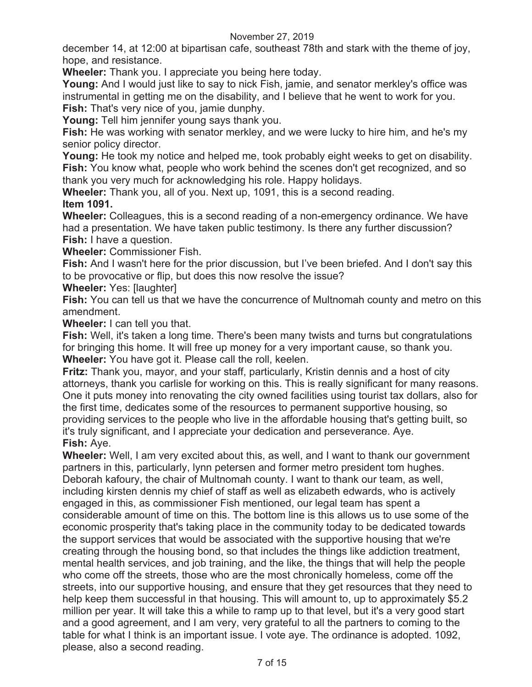december 14, at 12:00 at bipartisan cafe, southeast 78th and stark with the theme of joy, hope, and resistance.

**Wheeler:** Thank you. I appreciate you being here today.

**Young:** And I would just like to say to nick Fish, jamie, and senator merkley's office was instrumental in getting me on the disability, and I believe that he went to work for you. **Fish:** That's very nice of you, jamie dunphy.

**Young:** Tell him jennifer young says thank you.

**Fish:** He was working with senator merkley, and we were lucky to hire him, and he's my senior policy director.

**Young:** He took my notice and helped me, took probably eight weeks to get on disability. **Fish:** You know what, people who work behind the scenes don't get recognized, and so thank you very much for acknowledging his role. Happy holidays.

**Wheeler:** Thank you, all of you. Next up, 1091, this is a second reading. **Item 1091.** 

**Wheeler:** Colleagues, this is a second reading of a non-emergency ordinance. We have had a presentation. We have taken public testimony. Is there any further discussion? **Fish:** I have a question.

**Wheeler:** Commissioner Fish.

**Fish:** And I wasn't here for the prior discussion, but I've been briefed. And I don't say this to be provocative or flip, but does this now resolve the issue?

**Wheeler:** Yes: [laughter]

**Fish:** You can tell us that we have the concurrence of Multnomah county and metro on this amendment.

**Wheeler:** I can tell you that.

**Fish:** Well, it's taken a long time. There's been many twists and turns but congratulations for bringing this home. It will free up money for a very important cause, so thank you. **Wheeler:** You have got it. Please call the roll, keelen.

**Fritz:** Thank you, mayor, and your staff, particularly, Kristin dennis and a host of city attorneys, thank you carlisle for working on this. This is really significant for many reasons. One it puts money into renovating the city owned facilities using tourist tax dollars, also for the first time, dedicates some of the resources to permanent supportive housing, so providing services to the people who live in the affordable housing that's getting built, so it's truly significant, and I appreciate your dedication and perseverance. Aye. **Fish:** Aye.

**Wheeler:** Well, I am very excited about this, as well, and I want to thank our government partners in this, particularly, lynn petersen and former metro president tom hughes. Deborah kafoury, the chair of Multnomah county. I want to thank our team, as well, including kirsten dennis my chief of staff as well as elizabeth edwards, who is actively engaged in this, as commissioner Fish mentioned, our legal team has spent a considerable amount of time on this. The bottom line is this allows us to use some of the economic prosperity that's taking place in the community today to be dedicated towards the support services that would be associated with the supportive housing that we're creating through the housing bond, so that includes the things like addiction treatment, mental health services, and job training, and the like, the things that will help the people who come off the streets, those who are the most chronically homeless, come off the streets, into our supportive housing, and ensure that they get resources that they need to help keep them successful in that housing. This will amount to, up to approximately \$5.2 million per year. It will take this a while to ramp up to that level, but it's a very good start and a good agreement, and I am very, very grateful to all the partners to coming to the table for what I think is an important issue. I vote aye. The ordinance is adopted. 1092, please, also a second reading.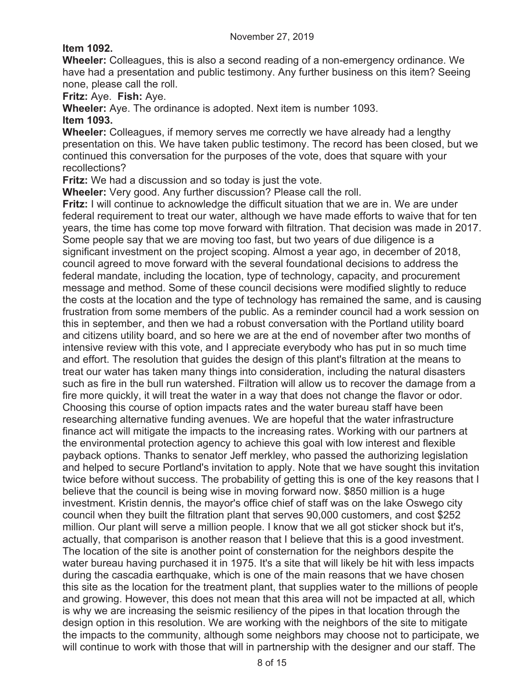## **Item 1092.**

**Wheeler:** Colleagues, this is also a second reading of a non-emergency ordinance. We have had a presentation and public testimony. Any further business on this item? Seeing none, please call the roll.

**Fritz:** Aye. **Fish:** Aye.

**Wheeler:** Aye. The ordinance is adopted. Next item is number 1093.

#### **Item 1093.**

**Wheeler:** Colleagues, if memory serves me correctly we have already had a lengthy presentation on this. We have taken public testimony. The record has been closed, but we continued this conversation for the purposes of the vote, does that square with your recollections?

**Fritz:** We had a discussion and so today is just the vote.

**Wheeler:** Very good. Any further discussion? Please call the roll.

**Fritz:** I will continue to acknowledge the difficult situation that we are in. We are under federal requirement to treat our water, although we have made efforts to waive that for ten years, the time has come top move forward with filtration. That decision was made in 2017. Some people say that we are moving too fast, but two years of due diligence is a significant investment on the project scoping. Almost a year ago, in december of 2018, council agreed to move forward with the several foundational decisions to address the federal mandate, including the location, type of technology, capacity, and procurement message and method. Some of these council decisions were modified slightly to reduce the costs at the location and the type of technology has remained the same, and is causing frustration from some members of the public. As a reminder council had a work session on this in september, and then we had a robust conversation with the Portland utility board and citizens utility board, and so here we are at the end of november after two months of intensive review with this vote, and I appreciate everybody who has put in so much time and effort. The resolution that guides the design of this plant's filtration at the means to treat our water has taken many things into consideration, including the natural disasters such as fire in the bull run watershed. Filtration will allow us to recover the damage from a fire more quickly, it will treat the water in a way that does not change the flavor or odor. Choosing this course of option impacts rates and the water bureau staff have been researching alternative funding avenues. We are hopeful that the water infrastructure finance act will mitigate the impacts to the increasing rates. Working with our partners at the environmental protection agency to achieve this goal with low interest and flexible payback options. Thanks to senator Jeff merkley, who passed the authorizing legislation and helped to secure Portland's invitation to apply. Note that we have sought this invitation twice before without success. The probability of getting this is one of the key reasons that I believe that the council is being wise in moving forward now. \$850 million is a huge investment. Kristin dennis, the mayor's office chief of staff was on the lake Oswego city council when they built the filtration plant that serves 90,000 customers, and cost \$252 million. Our plant will serve a million people. I know that we all got sticker shock but it's, actually, that comparison is another reason that I believe that this is a good investment. The location of the site is another point of consternation for the neighbors despite the water bureau having purchased it in 1975. It's a site that will likely be hit with less impacts during the cascadia earthquake, which is one of the main reasons that we have chosen this site as the location for the treatment plant, that supplies water to the millions of people and growing. However, this does not mean that this area will not be impacted at all, which is why we are increasing the seismic resiliency of the pipes in that location through the design option in this resolution. We are working with the neighbors of the site to mitigate the impacts to the community, although some neighbors may choose not to participate, we will continue to work with those that will in partnership with the designer and our staff. The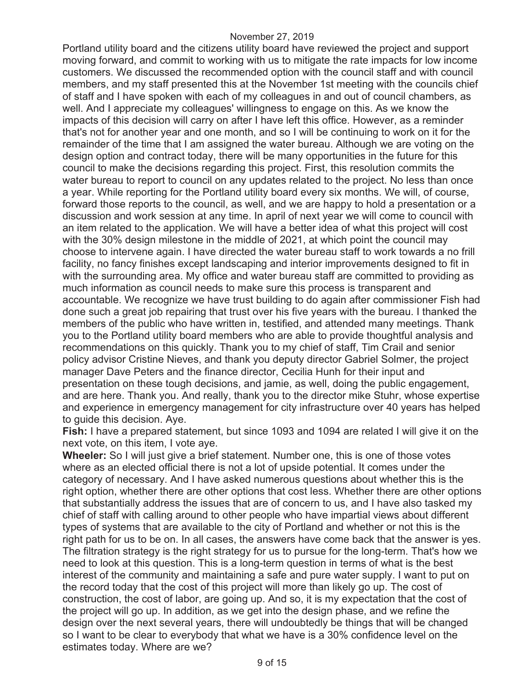Portland utility board and the citizens utility board have reviewed the project and support moving forward, and commit to working with us to mitigate the rate impacts for low income customers. We discussed the recommended option with the council staff and with council members, and my staff presented this at the November 1st meeting with the councils chief of staff and I have spoken with each of my colleagues in and out of council chambers, as well. And I appreciate my colleagues' willingness to engage on this. As we know the impacts of this decision will carry on after I have left this office. However, as a reminder that's not for another year and one month, and so I will be continuing to work on it for the remainder of the time that I am assigned the water bureau. Although we are voting on the design option and contract today, there will be many opportunities in the future for this council to make the decisions regarding this project. First, this resolution commits the water bureau to report to council on any updates related to the project. No less than once a year. While reporting for the Portland utility board every six months. We will, of course, forward those reports to the council, as well, and we are happy to hold a presentation or a discussion and work session at any time. In april of next year we will come to council with an item related to the application. We will have a better idea of what this project will cost with the 30% design milestone in the middle of 2021, at which point the council may choose to intervene again. I have directed the water bureau staff to work towards a no frill facility, no fancy finishes except landscaping and interior improvements designed to fit in with the surrounding area. My office and water bureau staff are committed to providing as much information as council needs to make sure this process is transparent and accountable. We recognize we have trust building to do again after commissioner Fish had done such a great job repairing that trust over his five years with the bureau. I thanked the members of the public who have written in, testified, and attended many meetings. Thank you to the Portland utility board members who are able to provide thoughtful analysis and recommendations on this quickly. Thank you to my chief of staff, Tim Crail and senior policy advisor Cristine Nieves, and thank you deputy director Gabriel Solmer, the project manager Dave Peters and the finance director, Cecilia Hunh for their input and presentation on these tough decisions, and jamie, as well, doing the public engagement, and are here. Thank you. And really, thank you to the director mike Stuhr, whose expertise and experience in emergency management for city infrastructure over 40 years has helped to guide this decision. Aye.

**Fish:** I have a prepared statement, but since 1093 and 1094 are related I will give it on the next vote, on this item, I vote aye.

**Wheeler:** So I will just give a brief statement. Number one, this is one of those votes where as an elected official there is not a lot of upside potential. It comes under the category of necessary. And I have asked numerous questions about whether this is the right option, whether there are other options that cost less. Whether there are other options that substantially address the issues that are of concern to us, and I have also tasked my chief of staff with calling around to other people who have impartial views about different types of systems that are available to the city of Portland and whether or not this is the right path for us to be on. In all cases, the answers have come back that the answer is yes. The filtration strategy is the right strategy for us to pursue for the long-term. That's how we need to look at this question. This is a long-term question in terms of what is the best interest of the community and maintaining a safe and pure water supply. I want to put on the record today that the cost of this project will more than likely go up. The cost of construction, the cost of labor, are going up. And so, it is my expectation that the cost of the project will go up. In addition, as we get into the design phase, and we refine the design over the next several years, there will undoubtedly be things that will be changed so I want to be clear to everybody that what we have is a 30% confidence level on the estimates today. Where are we?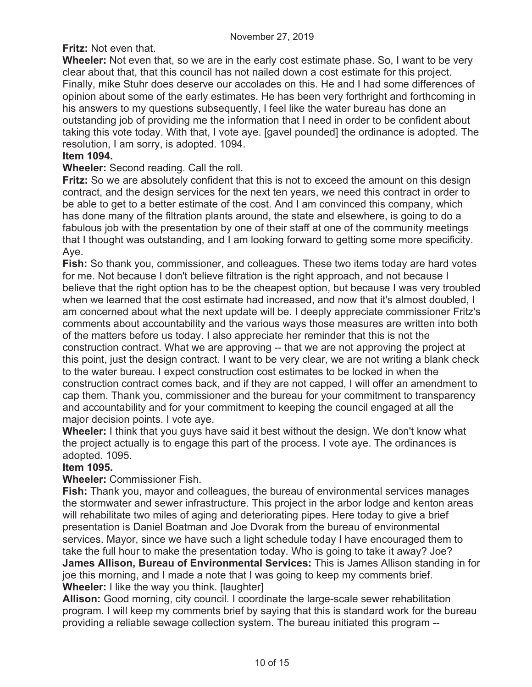**Fritz:** Not even that.

**Wheeler:** Not even that, so we are in the early cost estimate phase. So, I want to be very clear about that, that this council has not nailed down a cost estimate for this project. Finally, mike Stuhr does deserve our accolades on this. He and I had some differences of opinion about some of the early estimates. He has been very forthright and forthcoming in his answers to my questions subsequently, I feel like the water bureau has done an outstanding job of providing me the information that I need in order to be confident about taking this vote today. With that, I vote aye. [gavel pounded] the ordinance is adopted. The resolution, I am sorry, is adopted. 1094.

## **Item 1094.**

## **Wheeler:** Second reading. Call the roll.

**Fritz:** So we are absolutely confident that this is not to exceed the amount on this design contract, and the design services for the next ten years, we need this contract in order to be able to get to a better estimate of the cost. And I am convinced this company, which has done many of the filtration plants around, the state and elsewhere, is going to do a fabulous job with the presentation by one of their staff at one of the community meetings that I thought was outstanding, and I am looking forward to getting some more specificity. Aye.

**Fish:** So thank you, commissioner, and colleagues. These two items today are hard votes for me. Not because I don't believe filtration is the right approach, and not because I believe that the right option has to be the cheapest option, but because I was very troubled when we learned that the cost estimate had increased, and now that it's almost doubled, I am concerned about what the next update will be. I deeply appreciate commissioner Fritz's comments about accountability and the various ways those measures are written into both of the matters before us today. I also appreciate her reminder that this is not the construction contract. What we are approving -- that we are not approving the project at this point, just the design contract. I want to be very clear, we are not writing a blank check to the water bureau. I expect construction cost estimates to be locked in when the construction contract comes back, and if they are not capped, I will offer an amendment to cap them. Thank you, commissioner and the bureau for your commitment to transparency and accountability and for your commitment to keeping the council engaged at all the major decision points. I vote aye.

**Wheeler:** I think that you guys have said it best without the design. We don't know what the project actually is to engage this part of the process. I vote aye. The ordinances is adopted. 1095.

## **Item 1095.**

**Wheeler:** Commissioner Fish.

**Fish:** Thank you, mayor and colleagues, the bureau of environmental services manages the stormwater and sewer infrastructure. This project in the arbor lodge and kenton areas will rehabilitate two miles of aging and deteriorating pipes. Here today to give a brief presentation is Daniel Boatman and Joe Dvorak from the bureau of environmental services. Mayor, since we have such a light schedule today I have encouraged them to take the full hour to make the presentation today. Who is going to take it away? Joe? **James Allison, Bureau of Environmental Services:** This is James Allison standing in for joe this morning, and I made a note that I was going to keep my comments brief. **Wheeler:** I like the way you think. [laughter]

**Allison:** Good morning, city council. I coordinate the large-scale sewer rehabilitation program. I will keep my comments brief by saying that this is standard work for the bureau providing a reliable sewage collection system. The bureau initiated this program --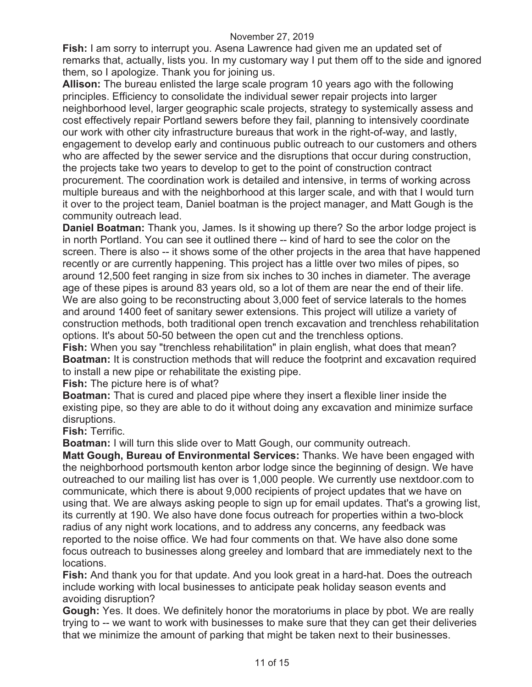**Fish:** I am sorry to interrupt you. Asena Lawrence had given me an updated set of remarks that, actually, lists you. In my customary way I put them off to the side and ignored them, so I apologize. Thank you for joining us.

**Allison:** The bureau enlisted the large scale program 10 years ago with the following principles. Efficiency to consolidate the individual sewer repair projects into larger neighborhood level, larger geographic scale projects, strategy to systemically assess and cost effectively repair Portland sewers before they fail, planning to intensively coordinate our work with other city infrastructure bureaus that work in the right-of-way, and lastly, engagement to develop early and continuous public outreach to our customers and others who are affected by the sewer service and the disruptions that occur during construction, the projects take two years to develop to get to the point of construction contract procurement. The coordination work is detailed and intensive, in terms of working across multiple bureaus and with the neighborhood at this larger scale, and with that I would turn it over to the project team, Daniel boatman is the project manager, and Matt Gough is the community outreach lead.

**Daniel Boatman:** Thank you, James. Is it showing up there? So the arbor lodge project is in north Portland. You can see it outlined there -- kind of hard to see the color on the screen. There is also -- it shows some of the other projects in the area that have happened recently or are currently happening. This project has a little over two miles of pipes, so around 12,500 feet ranging in size from six inches to 30 inches in diameter. The average age of these pipes is around 83 years old, so a lot of them are near the end of their life. We are also going to be reconstructing about 3,000 feet of service laterals to the homes and around 1400 feet of sanitary sewer extensions. This project will utilize a variety of construction methods, both traditional open trench excavation and trenchless rehabilitation options. It's about 50-50 between the open cut and the trenchless options.

**Fish:** When you say "trenchless rehabilitation" in plain english, what does that mean? **Boatman:** It is construction methods that will reduce the footprint and excavation required to install a new pipe or rehabilitate the existing pipe.

**Fish:** The picture here is of what?

**Boatman:** That is cured and placed pipe where they insert a flexible liner inside the existing pipe, so they are able to do it without doing any excavation and minimize surface disruptions.

**Fish:** Terrific.

**Boatman:** I will turn this slide over to Matt Gough, our community outreach.

**Matt Gough, Bureau of Environmental Services:** Thanks. We have been engaged with the neighborhood portsmouth kenton arbor lodge since the beginning of design. We have outreached to our mailing list has over is 1,000 people. We currently use nextdoor.com to communicate, which there is about 9,000 recipients of project updates that we have on using that. We are always asking people to sign up for email updates. That's a growing list, its currently at 190. We also have done focus outreach for properties within a two-block radius of any night work locations, and to address any concerns, any feedback was reported to the noise office. We had four comments on that. We have also done some focus outreach to businesses along greeley and lombard that are immediately next to the locations.

**Fish:** And thank you for that update. And you look great in a hard-hat. Does the outreach include working with local businesses to anticipate peak holiday season events and avoiding disruption?

**Gough:** Yes. It does. We definitely honor the moratoriums in place by pbot. We are really trying to -- we want to work with businesses to make sure that they can get their deliveries that we minimize the amount of parking that might be taken next to their businesses.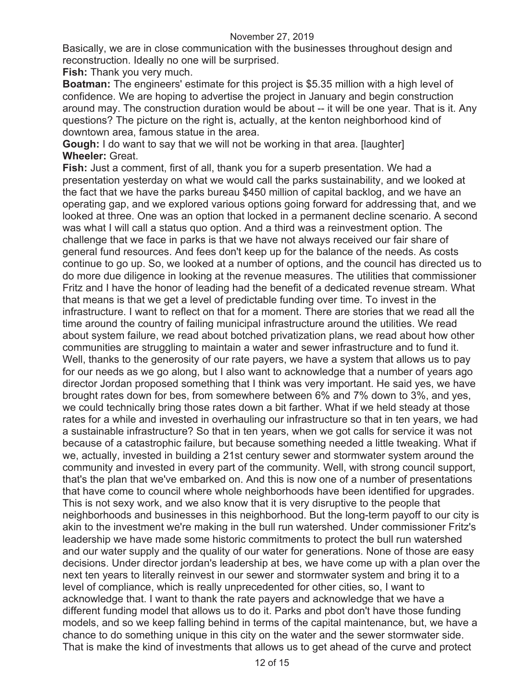Basically, we are in close communication with the businesses throughout design and reconstruction. Ideally no one will be surprised.

**Fish:** Thank you very much.

**Boatman:** The engineers' estimate for this project is \$5.35 million with a high level of confidence. We are hoping to advertise the project in January and begin construction around may. The construction duration would be about -- it will be one year. That is it. Any questions? The picture on the right is, actually, at the kenton neighborhood kind of downtown area, famous statue in the area.

**Gough:** I do want to say that we will not be working in that area. [laughter] **Wheeler:** Great.

**Fish:** Just a comment, first of all, thank you for a superb presentation. We had a presentation yesterday on what we would call the parks sustainability, and we looked at the fact that we have the parks bureau \$450 million of capital backlog, and we have an operating gap, and we explored various options going forward for addressing that, and we looked at three. One was an option that locked in a permanent decline scenario. A second was what I will call a status quo option. And a third was a reinvestment option. The challenge that we face in parks is that we have not always received our fair share of general fund resources. And fees don't keep up for the balance of the needs. As costs continue to go up. So, we looked at a number of options, and the council has directed us to do more due diligence in looking at the revenue measures. The utilities that commissioner Fritz and I have the honor of leading had the benefit of a dedicated revenue stream. What that means is that we get a level of predictable funding over time. To invest in the infrastructure. I want to reflect on that for a moment. There are stories that we read all the time around the country of failing municipal infrastructure around the utilities. We read about system failure, we read about botched privatization plans, we read about how other communities are struggling to maintain a water and sewer infrastructure and to fund it. Well, thanks to the generosity of our rate payers, we have a system that allows us to pay for our needs as we go along, but I also want to acknowledge that a number of years ago director Jordan proposed something that I think was very important. He said yes, we have brought rates down for bes, from somewhere between 6% and 7% down to 3%, and yes, we could technically bring those rates down a bit farther. What if we held steady at those rates for a while and invested in overhauling our infrastructure so that in ten years, we had a sustainable infrastructure? So that in ten years, when we got calls for service it was not because of a catastrophic failure, but because something needed a little tweaking. What if we, actually, invested in building a 21st century sewer and stormwater system around the community and invested in every part of the community. Well, with strong council support, that's the plan that we've embarked on. And this is now one of a number of presentations that have come to council where whole neighborhoods have been identified for upgrades. This is not sexy work, and we also know that it is very disruptive to the people that neighborhoods and businesses in this neighborhood. But the long-term payoff to our city is akin to the investment we're making in the bull run watershed. Under commissioner Fritz's leadership we have made some historic commitments to protect the bull run watershed and our water supply and the quality of our water for generations. None of those are easy decisions. Under director jordan's leadership at bes, we have come up with a plan over the next ten years to literally reinvest in our sewer and stormwater system and bring it to a level of compliance, which is really unprecedented for other cities, so, I want to acknowledge that. I want to thank the rate payers and acknowledge that we have a different funding model that allows us to do it. Parks and pbot don't have those funding models, and so we keep falling behind in terms of the capital maintenance, but, we have a chance to do something unique in this city on the water and the sewer stormwater side. That is make the kind of investments that allows us to get ahead of the curve and protect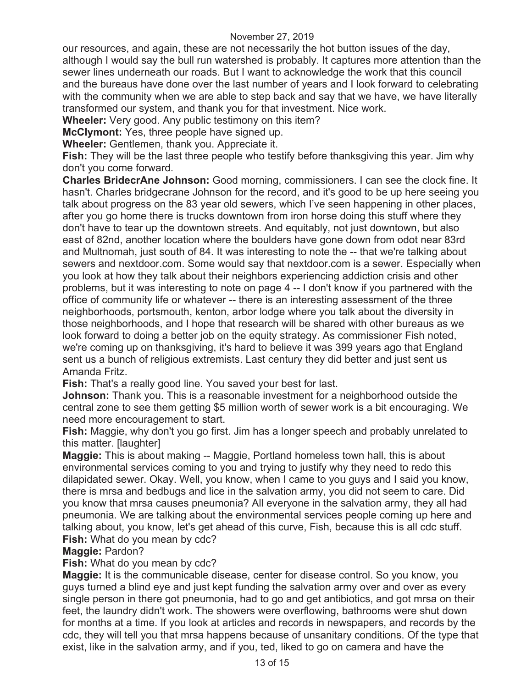our resources, and again, these are not necessarily the hot button issues of the day, although I would say the bull run watershed is probably. It captures more attention than the sewer lines underneath our roads. But I want to acknowledge the work that this council and the bureaus have done over the last number of years and I look forward to celebrating with the community when we are able to step back and say that we have, we have literally transformed our system, and thank you for that investment. Nice work.

**Wheeler:** Very good. Any public testimony on this item?

**McClymont:** Yes, three people have signed up.

**Wheeler:** Gentlemen, thank you. Appreciate it.

**Fish:** They will be the last three people who testify before thanksgiving this year. Jim why don't you come forward.

**Charles BridecrAne Johnson:** Good morning, commissioners. I can see the clock fine. It hasn't. Charles bridgecrane Johnson for the record, and it's good to be up here seeing you talk about progress on the 83 year old sewers, which I've seen happening in other places, after you go home there is trucks downtown from iron horse doing this stuff where they don't have to tear up the downtown streets. And equitably, not just downtown, but also east of 82nd, another location where the boulders have gone down from odot near 83rd and Multnomah, just south of 84. It was interesting to note the -- that we're talking about sewers and nextdoor.com. Some would say that nextdoor.com is a sewer. Especially when you look at how they talk about their neighbors experiencing addiction crisis and other problems, but it was interesting to note on page 4 -- I don't know if you partnered with the office of community life or whatever -- there is an interesting assessment of the three neighborhoods, portsmouth, kenton, arbor lodge where you talk about the diversity in those neighborhoods, and I hope that research will be shared with other bureaus as we look forward to doing a better job on the equity strategy. As commissioner Fish noted, we're coming up on thanksgiving, it's hard to believe it was 399 years ago that England sent us a bunch of religious extremists. Last century they did better and just sent us Amanda Fritz.

**Fish:** That's a really good line. You saved your best for last.

**Johnson:** Thank you. This is a reasonable investment for a neighborhood outside the central zone to see them getting \$5 million worth of sewer work is a bit encouraging. We need more encouragement to start.

**Fish:** Maggie, why don't you go first. Jim has a longer speech and probably unrelated to this matter. [laughter]

**Maggie:** This is about making -- Maggie, Portland homeless town hall, this is about environmental services coming to you and trying to justify why they need to redo this dilapidated sewer. Okay. Well, you know, when I came to you guys and I said you know, there is mrsa and bedbugs and lice in the salvation army, you did not seem to care. Did you know that mrsa causes pneumonia? All everyone in the salvation army, they all had pneumonia. We are talking about the environmental services people coming up here and talking about, you know, let's get ahead of this curve, Fish, because this is all cdc stuff. **Fish:** What do you mean by cdc?

## **Maggie:** Pardon?

**Fish:** What do you mean by cdc?

**Maggie:** It is the communicable disease, center for disease control. So you know, you guys turned a blind eye and just kept funding the salvation army over and over as every single person in there got pneumonia, had to go and get antibiotics, and got mrsa on their feet, the laundry didn't work. The showers were overflowing, bathrooms were shut down for months at a time. If you look at articles and records in newspapers, and records by the cdc, they will tell you that mrsa happens because of unsanitary conditions. Of the type that exist, like in the salvation army, and if you, ted, liked to go on camera and have the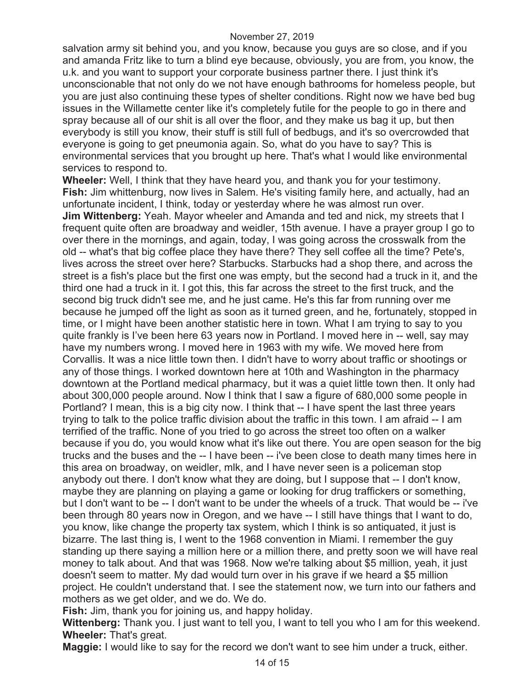salvation army sit behind you, and you know, because you guys are so close, and if you and amanda Fritz like to turn a blind eye because, obviously, you are from, you know, the u.k. and you want to support your corporate business partner there. I just think it's unconscionable that not only do we not have enough bathrooms for homeless people, but you are just also continuing these types of shelter conditions. Right now we have bed bug issues in the Willamette center like it's completely futile for the people to go in there and spray because all of our shit is all over the floor, and they make us bag it up, but then everybody is still you know, their stuff is still full of bedbugs, and it's so overcrowded that everyone is going to get pneumonia again. So, what do you have to say? This is environmental services that you brought up here. That's what I would like environmental services to respond to.

**Wheeler:** Well, I think that they have heard you, and thank you for your testimony. **Fish:** Jim whittenburg, now lives in Salem. He's visiting family here, and actually, had an unfortunate incident, I think, today or yesterday where he was almost run over. **Jim Wittenberg:** Yeah. Mayor wheeler and Amanda and ted and nick, my streets that I frequent quite often are broadway and weidler, 15th avenue. I have a prayer group I go to over there in the mornings, and again, today, I was going across the crosswalk from the old -- what's that big coffee place they have there? They sell coffee all the time? Pete's, lives across the street over here? Starbucks. Starbucks had a shop there, and across the street is a fish's place but the first one was empty, but the second had a truck in it, and the third one had a truck in it. I got this, this far across the street to the first truck, and the second big truck didn't see me, and he just came. He's this far from running over me because he jumped off the light as soon as it turned green, and he, fortunately, stopped in time, or I might have been another statistic here in town. What I am trying to say to you quite frankly is I've been here 63 years now in Portland. I moved here in -- well, say may have my numbers wrong. I moved here in 1963 with my wife. We moved here from Corvallis. It was a nice little town then. I didn't have to worry about traffic or shootings or any of those things. I worked downtown here at 10th and Washington in the pharmacy downtown at the Portland medical pharmacy, but it was a quiet little town then. It only had about 300,000 people around. Now I think that I saw a figure of 680,000 some people in Portland? I mean, this is a big city now. I think that -- I have spent the last three years trying to talk to the police traffic division about the traffic in this town. I am afraid -- I am terrified of the traffic. None of you tried to go across the street too often on a walker because if you do, you would know what it's like out there. You are open season for the big trucks and the buses and the -- I have been -- i've been close to death many times here in this area on broadway, on weidler, mlk, and I have never seen is a policeman stop anybody out there. I don't know what they are doing, but I suppose that -- I don't know, maybe they are planning on playing a game or looking for drug traffickers or something, but I don't want to be -- I don't want to be under the wheels of a truck. That would be -- i've been through 80 years now in Oregon, and we have -- I still have things that I want to do, you know, like change the property tax system, which I think is so antiquated, it just is bizarre. The last thing is, I went to the 1968 convention in Miami. I remember the guy standing up there saying a million here or a million there, and pretty soon we will have real money to talk about. And that was 1968. Now we're talking about \$5 million, yeah, it just doesn't seem to matter. My dad would turn over in his grave if we heard a \$5 million project. He couldn't understand that. I see the statement now, we turn into our fathers and mothers as we get older, and we do. We do.

**Fish:** Jim, thank you for joining us, and happy holiday.

**Wittenberg:** Thank you. I just want to tell you, I want to tell you who I am for this weekend. **Wheeler:** That's great.

**Maggie:** I would like to say for the record we don't want to see him under a truck, either.